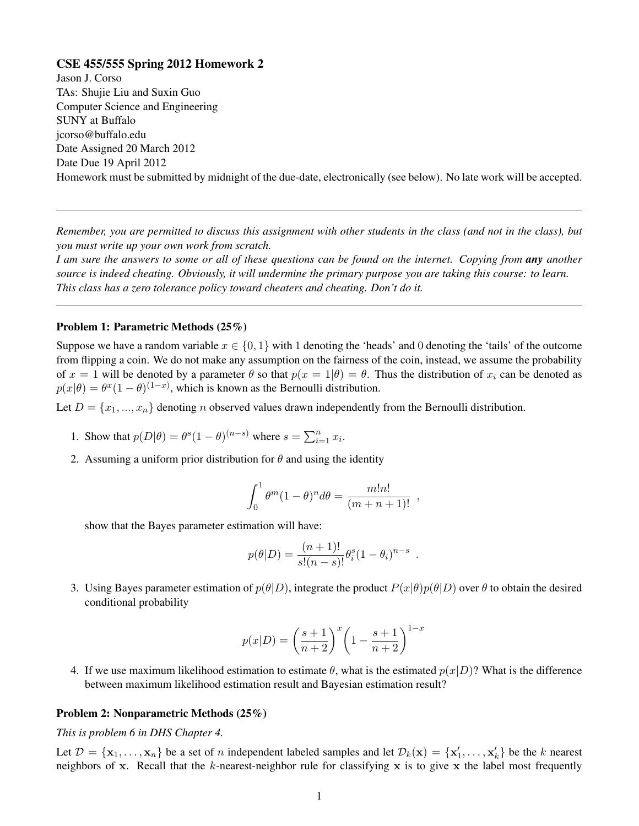# CSE 455/555 Spring 2012 Homework 2

Jason J. Corso TAs: Shujie Liu and Suxin Guo Computer Science and Engineering SUNY at Buffalo jcorso@buffalo.edu Date Assigned 20 March 2012 Date Due 19 April 2012 Homework must be submitted by midnight of the due-date, electronically (see below). No late work will be accepted.

*Remember, you are permitted to discuss this assignment with other students in the class (and not in the class), but you must write up your own work from scratch.*

*I am sure the answers to some or all of these questions can be found on the internet. Copying from any another source is indeed cheating. Obviously, it will undermine the primary purpose you are taking this course: to learn. This class has a zero tolerance policy toward cheaters and cheating. Don't do it.*

#### Problem 1: Parametric Methods (25%)

Suppose we have a random variable  $x \in \{0, 1\}$  with 1 denoting the 'heads' and 0 denoting the 'tails' of the outcome from flipping a coin. We do not make any assumption on the fairness of the coin, instead, we assume the probability of  $x = 1$  will be denoted by a parameter  $\theta$  so that  $p(x = 1 | \theta) = \theta$ . Thus the distribution of  $x_i$  can be denoted as  $p(x|\theta) = \theta^x (1-\theta)^{(1-x)}$ , which is known as the Bernoulli distribution.

Let  $D = \{x_1, ..., x_n\}$  denoting *n* observed values drawn independently from the Bernoulli distribution.

- 1. Show that  $p(D|\theta) = \theta^s (1-\theta)^{(n-s)}$  where  $s = \sum_{i=1}^n x_i$ .
- 2. Assuming a uniform prior distribution for  $\theta$  and using the identity

$$
\int_0^1 \theta^m (1-\theta)^n d\theta = \frac{m!n!}{(m+n+1)!} ,
$$

show that the Bayes parameter estimation will have:

$$
p(\theta|D) = \frac{(n+1)!}{s!(n-s)!} \theta_i^s (1-\theta_i)^{n-s} .
$$

3. Using Bayes parameter estimation of  $p(\theta|D)$ , integrate the product  $P(x|\theta)p(\theta|D)$  over  $\theta$  to obtain the desired conditional probability

$$
p(x|D) = \left(\frac{s+1}{n+2}\right)^x \left(1 - \frac{s+1}{n+2}\right)^{1-x}
$$

4. If we use maximum likelihood estimation to estimate  $\theta$ , what is the estimated  $p(x|D)$ ? What is the difference between maximum likelihood estimation result and Bayesian estimation result?

### Problem 2: Nonparametric Methods (25%)

*This is problem 6 in DHS Chapter 4.*

Let  $\mathcal{D} = {\mathbf{x}_1, \dots, \mathbf{x}_n}$  be a set of n independent labeled samples and let  $\mathcal{D}_k(\mathbf{x}) = {\mathbf{x}'_1, \dots, \mathbf{x}'_k}$  be the k nearest neighbors of x. Recall that the k-nearest-neighbor rule for classifying x is to give x the label most frequently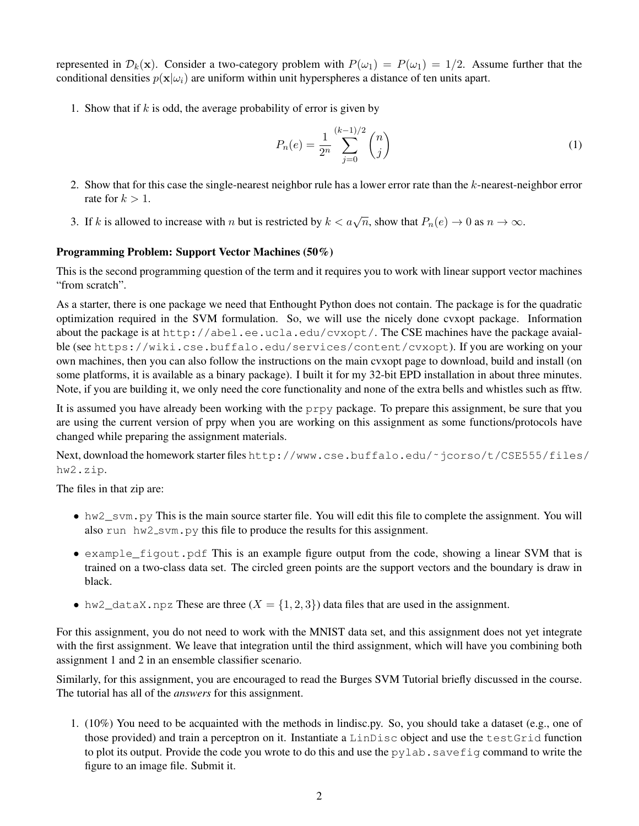represented in  $\mathcal{D}_k(\mathbf{x})$ . Consider a two-category problem with  $P(\omega_1) = P(\omega_1) = 1/2$ . Assume further that the conditional densities  $p(\mathbf{x}|\omega_i)$  are uniform within unit hyperspheres a distance of ten units apart.

1. Show that if  $k$  is odd, the average probability of error is given by

$$
P_n(e) = \frac{1}{2^n} \sum_{j=0}^{(k-1)/2} \binom{n}{j} \tag{1}
$$

- 2. Show that for this case the single-nearest neighbor rule has a lower error rate than the k-nearest-neighbor error rate for  $k > 1$ .
- 3. If k is allowed to increase with n but is restricted by  $k < a\sqrt{n}$ , show that  $P_n(e) \to 0$  as  $n \to \infty$ .

# Programming Problem: Support Vector Machines (50%)

This is the second programming question of the term and it requires you to work with linear support vector machines "from scratch".

As a starter, there is one package we need that Enthought Python does not contain. The package is for the quadratic optimization required in the SVM formulation. So, we will use the nicely done cvxopt package. Information about the package is at http://abel.ee.ucla.edu/cvxopt/. The CSE machines have the package avaialble (see https://wiki.cse.buffalo.edu/services/content/cvxopt). If you are working on your own machines, then you can also follow the instructions on the main cvxopt page to download, build and install (on some platforms, it is available as a binary package). I built it for my 32-bit EPD installation in about three minutes. Note, if you are building it, we only need the core functionality and none of the extra bells and whistles such as fftw.

It is assumed you have already been working with the prpy package. To prepare this assignment, be sure that you are using the current version of prpy when you are working on this assignment as some functions/protocols have changed while preparing the assignment materials.

Next, download the homework starter files http://www.cse.buffalo.edu/˜jcorso/t/CSE555/files/ hw2.zip.

The files in that zip are:

- hw2\_svm.py This is the main source starter file. You will edit this file to complete the assignment. You will also run hw2\_svm.py this file to produce the results for this assignment.
- example\_figout.pdf This is an example figure output from the code, showing a linear SVM that is trained on a two-class data set. The circled green points are the support vectors and the boundary is draw in black.
- hw2\_dataX.npz These are three  $(X = \{1, 2, 3\})$  data files that are used in the assignment.

For this assignment, you do not need to work with the MNIST data set, and this assignment does not yet integrate with the first assignment. We leave that integration until the third assignment, which will have you combining both assignment 1 and 2 in an ensemble classifier scenario.

Similarly, for this assignment, you are encouraged to read the Burges SVM Tutorial briefly discussed in the course. The tutorial has all of the *answers* for this assignment.

1. (10%) You need to be acquainted with the methods in lindisc.py. So, you should take a dataset (e.g., one of those provided) and train a perceptron on it. Instantiate a LinDisc object and use the testGrid function to plot its output. Provide the code you wrote to do this and use the  $pylab$ . save fig command to write the figure to an image file. Submit it.